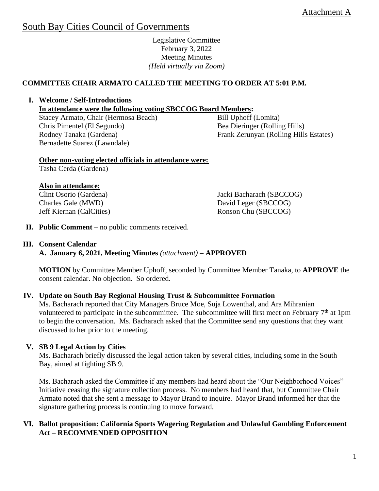# South Bay Cities Council of Governments

Legislative Committee February 3, 2022 Meeting Minutes *(Held virtually via Zoom)*

# **COMMITTEE CHAIR ARMATO CALLED THE MEETING TO ORDER AT 5:01 P.M.**

**I. Welcome / Self-Introductions** 

**In attendance were the following voting SBCCOG Board Members:** 

Stacey Armato, Chair (Hermosa Beach) Chris Pimentel (El Segundo) Rodney Tanaka (Gardena) Bernadette Suarez (Lawndale)

Bill Uphoff (Lomita) Bea Dieringer (Rolling Hills) Frank Zerunyan (Rolling Hills Estates)

## **Other non-voting elected officials in attendance were:**

Tasha Cerda (Gardena)

## **Also in attendance:**

Clint Osorio (Gardena) Charles Gale (MWD) Jeff Kiernan (CalCities) Jacki Bacharach (SBCCOG) David Leger (SBCCOG) Ronson Chu (SBCCOG)

**II. Public Comment** – no public comments received.

#### **III. Consent Calendar**

**A. January 6, 2021, Meeting Minutes** *(attachment)* **– APPROVED**

**MOTION** by Committee Member Uphoff, seconded by Committee Member Tanaka, to **APPROVE** the consent calendar. No objection. So ordered.

## **IV. Update on South Bay Regional Housing Trust & Subcommittee Formation**

Ms. Bacharach reported that City Managers Bruce Moe, Suja Lowenthal, and Ara Mihranian volunteered to participate in the subcommittee. The subcommittee will first meet on February  $7<sup>th</sup>$  at 1pm to begin the conversation. Ms. Bacharach asked that the Committee send any questions that they want discussed to her prior to the meeting.

## **V. SB 9 Legal Action by Cities**

Ms. Bacharach briefly discussed the legal action taken by several cities, including some in the South Bay, aimed at fighting SB 9.

Ms. Bacharach asked the Committee if any members had heard about the "Our Neighborhood Voices" Initiative ceasing the signature collection process. No members had heard that, but Committee Chair Armato noted that she sent a message to Mayor Brand to inquire. Mayor Brand informed her that the signature gathering process is continuing to move forward.

## **VI. Ballot proposition: California Sports Wagering Regulation and Unlawful Gambling Enforcement Act – RECOMMENDED OPPOSITION**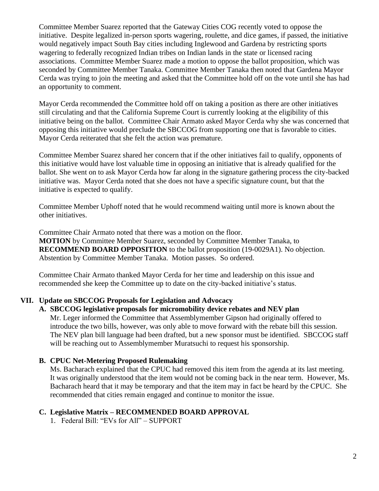Committee Member Suarez reported that the Gateway Cities COG recently voted to oppose the initiative. Despite legalized in-person sports wagering, roulette, and dice games, if passed, the initiative would negatively impact South Bay cities including Inglewood and Gardena by restricting sports wagering to federally recognized Indian tribes on Indian lands in the state or licensed racing associations. Committee Member Suarez made a motion to oppose the ballot proposition, which was seconded by Committee Member Tanaka. Committee Member Tanaka then noted that Gardena Mayor Cerda was trying to join the meeting and asked that the Committee hold off on the vote until she has had an opportunity to comment.

Mayor Cerda recommended the Committee hold off on taking a position as there are other initiatives still circulating and that the California Supreme Court is currently looking at the eligibility of this initiative being on the ballot. Committee Chair Armato asked Mayor Cerda why she was concerned that opposing this initiative would preclude the SBCCOG from supporting one that is favorable to cities. Mayor Cerda reiterated that she felt the action was premature.

Committee Member Suarez shared her concern that if the other initiatives fail to qualify, opponents of this initiative would have lost valuable time in opposing an initiative that is already qualified for the ballot. She went on to ask Mayor Cerda how far along in the signature gathering process the city-backed initiative was. Mayor Cerda noted that she does not have a specific signature count, but that the initiative is expected to qualify.

Committee Member Uphoff noted that he would recommend waiting until more is known about the other initiatives.

Committee Chair Armato noted that there was a motion on the floor.

**MOTION** by Committee Member Suarez, seconded by Committee Member Tanaka, to **RECOMMEND BOARD OPPOSITION** to the ballot proposition (19-0029A1). No objection. Abstention by Committee Member Tanaka. Motion passes. So ordered.

Committee Chair Armato thanked Mayor Cerda for her time and leadership on this issue and recommended she keep the Committee up to date on the city-backed initiative's status.

## **VII. Update on SBCCOG Proposals for Legislation and Advocacy**

#### **A. SBCCOG legislative proposals for micromobility device rebates and NEV plan**

Mr. Leger informed the Committee that Assemblymember Gipson had originally offered to introduce the two bills, however, was only able to move forward with the rebate bill this session. The NEV plan bill language had been drafted, but a new sponsor must be identified. SBCCOG staff will be reaching out to Assemblymember Muratsuchi to request his sponsorship.

#### **B. CPUC Net-Metering Proposed Rulemaking**

Ms. Bacharach explained that the CPUC had removed this item from the agenda at its last meeting. It was originally understood that the item would not be coming back in the near term. However, Ms. Bacharach heard that it may be temporary and that the item may in fact be heard by the CPUC. She recommended that cities remain engaged and continue to monitor the issue.

#### **C. Legislative Matrix – RECOMMENDED BOARD APPROVAL**

1. Federal Bill: "EVs for All" – SUPPORT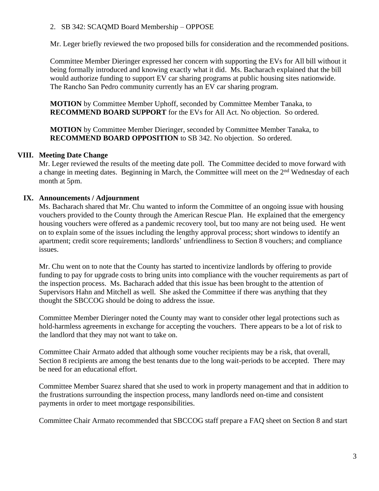## 2. SB 342: SCAQMD Board Membership – OPPOSE

Mr. Leger briefly reviewed the two proposed bills for consideration and the recommended positions.

Committee Member Dieringer expressed her concern with supporting the EVs for All bill without it being formally introduced and knowing exactly what it did. Ms. Bacharach explained that the bill would authorize funding to support EV car sharing programs at public housing sites nationwide. The Rancho San Pedro community currently has an EV car sharing program.

**MOTION** by Committee Member Uphoff, seconded by Committee Member Tanaka, to **RECOMMEND BOARD SUPPORT** for the EVs for All Act. No objection. So ordered.

**MOTION** by Committee Member Dieringer, seconded by Committee Member Tanaka, to **RECOMMEND BOARD OPPOSITION** to SB 342. No objection. So ordered.

# **VIII. Meeting Date Change**

Mr. Leger reviewed the results of the meeting date poll. The Committee decided to move forward with a change in meeting dates. Beginning in March, the Committee will meet on the 2<sup>nd</sup> Wednesday of each month at 5pm.

# **IX. Announcements / Adjournment**

Ms. Bacharach shared that Mr. Chu wanted to inform the Committee of an ongoing issue with housing vouchers provided to the County through the American Rescue Plan. He explained that the emergency housing vouchers were offered as a pandemic recovery tool, but too many are not being used. He went on to explain some of the issues including the lengthy approval process; short windows to identify an apartment; credit score requirements; landlords' unfriendliness to Section 8 vouchers; and compliance issues.

Mr. Chu went on to note that the County has started to incentivize landlords by offering to provide funding to pay for upgrade costs to bring units into compliance with the voucher requirements as part of the inspection process. Ms. Bacharach added that this issue has been brought to the attention of Supervisors Hahn and Mitchell as well. She asked the Committee if there was anything that they thought the SBCCOG should be doing to address the issue.

Committee Member Dieringer noted the County may want to consider other legal protections such as hold-harmless agreements in exchange for accepting the vouchers. There appears to be a lot of risk to the landlord that they may not want to take on.

Committee Chair Armato added that although some voucher recipients may be a risk, that overall, Section 8 recipients are among the best tenants due to the long wait-periods to be accepted. There may be need for an educational effort.

Committee Member Suarez shared that she used to work in property management and that in addition to the frustrations surrounding the inspection process, many landlords need on-time and consistent payments in order to meet mortgage responsibilities.

Committee Chair Armato recommended that SBCCOG staff prepare a FAQ sheet on Section 8 and start